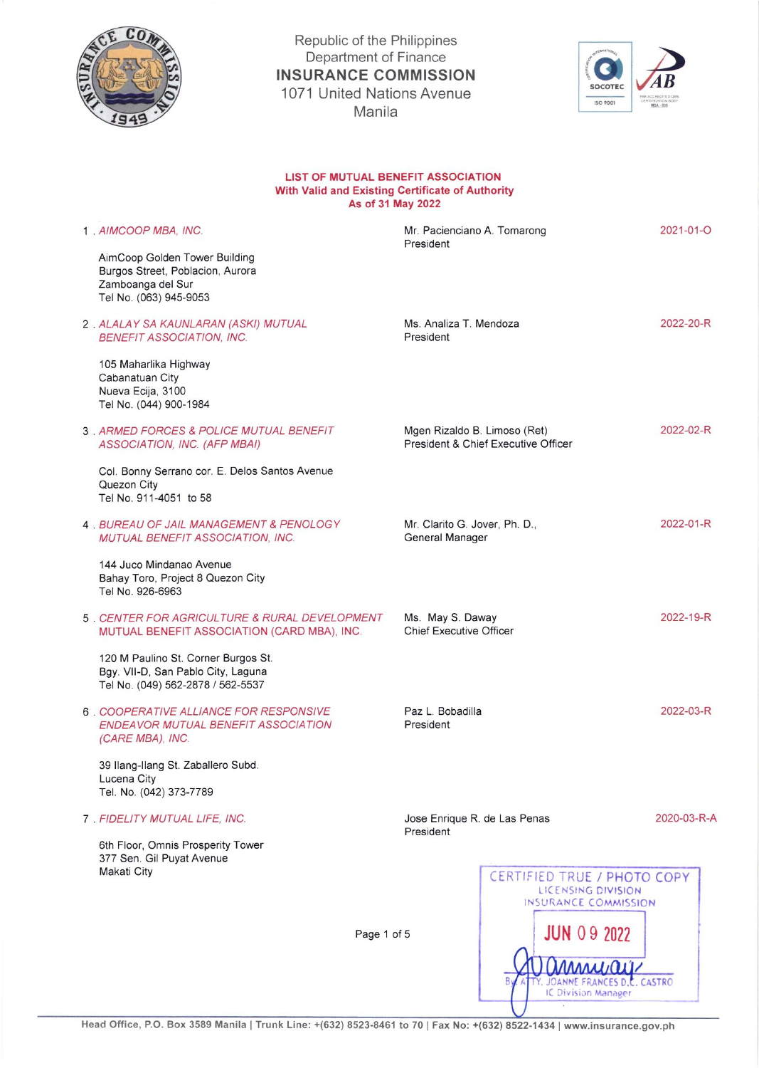

Republic of the Philippines Department of Finance INSURANCE COMMISSION 1071 United Nations Avenue Manila



## LIST OF MUTUAL BENEFIT ASSOCIATION With Valid and Existing Certificate of Authority As of 31 May 2022

| 1 AIMCOOP MBA. INC.                                                                                              | Mr. Pacienciano A. Tomarong<br>President           |                                                                           | 2021-01-O   |
|------------------------------------------------------------------------------------------------------------------|----------------------------------------------------|---------------------------------------------------------------------------|-------------|
| AimCoop Golden Tower Building<br>Burgos Street, Poblacion, Aurora<br>Zamboanga del Sur<br>Tel No. (063) 945-9053 |                                                    |                                                                           |             |
| 2. ALALAY SA KAUNLARAN (ASKI) MUTUAL<br><b>BENEFIT ASSOCIATION, INC.</b>                                         | Ms. Analiza T. Mendoza<br>President                |                                                                           | 2022-20-R   |
| 105 Maharlika Highway<br>Cabanatuan City<br>Nueva Ecija, 3100<br>Tel No. (044) 900-1984                          |                                                    |                                                                           |             |
| 3. ARMED FORCES & POLICE MUTUAL BENEFIT<br>ASSOCIATION, INC. (AFP MBAI)                                          | Mgen Rizaldo B. Limoso (Ret)                       | President & Chief Executive Officer                                       | 2022-02-R   |
| Col. Bonny Serrano cor. E. Delos Santos Avenue<br>Quezon City<br>Tel No. 911-4051 to 58                          |                                                    |                                                                           |             |
| <b>4 BUREAU OF JAIL MANAGEMENT &amp; PENOLOGY</b><br>MUTUAL BENEFIT ASSOCIATION, INC.                            | Mr. Clarito G. Jover, Ph. D.,<br>General Manager   |                                                                           | 2022-01-R   |
| 144 Juco Mindanao Avenue<br>Bahay Toro, Project 8 Quezon City<br>Tel No. 926-6963                                |                                                    |                                                                           |             |
| 5 . CENTER FOR AGRICULTURE & RURAL DEVELOPMENT<br>MUTUAL BENEFIT ASSOCIATION (CARD MBA), INC.                    | Ms. May S. Daway<br><b>Chief Executive Officer</b> |                                                                           | 2022-19-R   |
| 120 M Paulino St. Corner Burgos St.<br>Bgy. VII-D, San Pablo City, Laguna<br>Tel No. (049) 562-2878 / 562-5537   |                                                    |                                                                           |             |
| 6 COOPERATIVE ALLIANCE FOR RESPONSIVE<br><b>ENDEAVOR MUTUAL BENEFIT ASSOCIATION</b><br>(CARE MBA), INC.          | Paz L. Bobadilla<br>President                      |                                                                           | 2022-03-R   |
| 39 Ilang-Ilang St. Zaballero Subd.<br>Lucena City<br>Tel. No. (042) 373-7789                                     |                                                    |                                                                           |             |
| 7 . FIDELITY MUTUAL LIFE, INC.                                                                                   | Jose Enrique R. de Las Penas<br>President          |                                                                           | 2020-03-R-A |
| 6th Floor, Omnis Prosperity Tower<br>377 Sen. Gil Puyat Avenue                                                   |                                                    |                                                                           |             |
| Makati City                                                                                                      |                                                    | CERTIFIED TRUE / PHOTO COPY<br>LICENSING DIVISION<br>INSURANCE COMMISSION |             |
| Page 1 of 5                                                                                                      |                                                    | <b>JUN 09 2022</b>                                                        |             |
|                                                                                                                  |                                                    |                                                                           |             |
|                                                                                                                  |                                                    | JOANNE FRANCES D.C. CASTRO<br>IC Division Manager                         |             |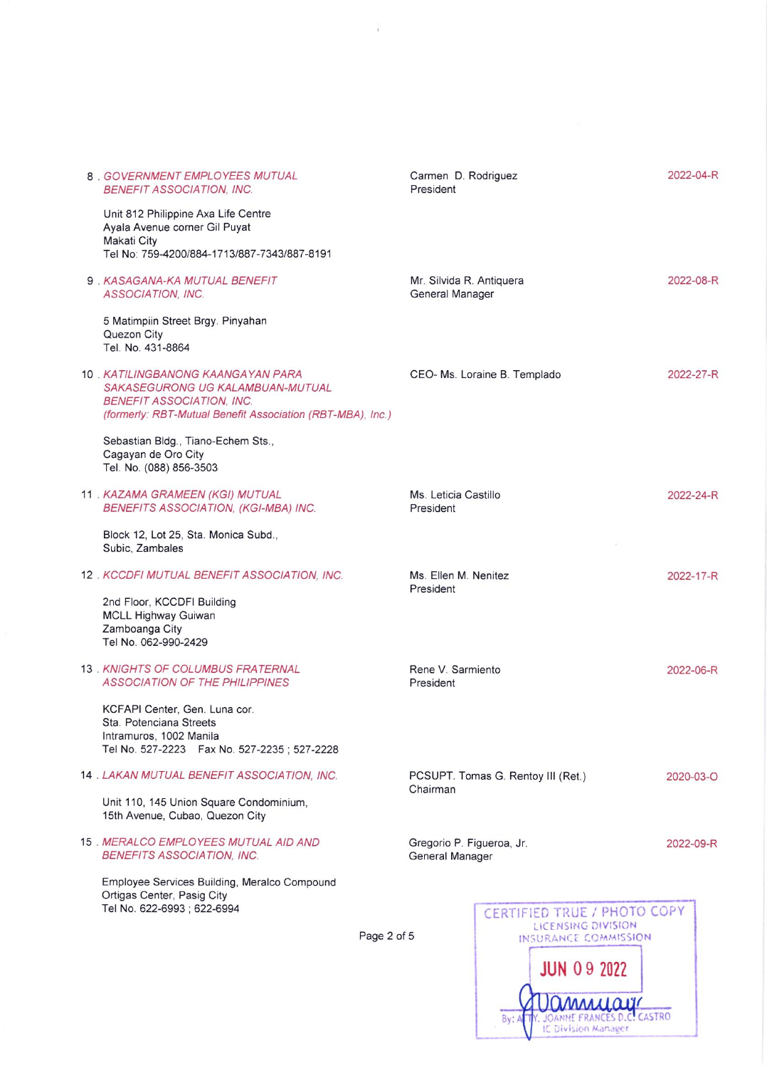|  |                                                                                                                                                                          |             | President                                      |                                                   |           |
|--|--------------------------------------------------------------------------------------------------------------------------------------------------------------------------|-------------|------------------------------------------------|---------------------------------------------------|-----------|
|  | Unit 812 Philippine Axa Life Centre<br>Ayala Avenue corner Gil Puyat<br>Makati City<br>Tel No: 759-4200/884-1713/887-7343/887-8191                                       |             |                                                |                                                   |           |
|  | 9 . KASAGANA-KA MUTUAL BENEFIT<br><b>ASSOCIATION, INC.</b>                                                                                                               |             | Mr. Silvida R. Antiquera<br>General Manager    |                                                   | 2022-08-R |
|  | 5 Matimpiin Street Brgy. Pinyahan<br>Quezon City<br>Tel. No. 431-8864                                                                                                    |             |                                                |                                                   |           |
|  | 10 . KATILINGBANONG KAANGAYAN PARA<br>SAKASEGURONG UG KALAMBUAN-MUTUAL<br><b>BENEFIT ASSOCIATION, INC.</b><br>(formerly: RBT-Mutual Benefit Association (RBT-MBA), Inc.) |             |                                                | CEO- Ms. Loraine B. Templado                      | 2022-27-R |
|  | Sebastian Bldg., Tiano-Echem Sts.,<br>Cagayan de Oro City<br>Tel. No. (088) 856-3503                                                                                     |             |                                                |                                                   |           |
|  | 11 . KAZAMA GRAMEEN (KGI) MUTUAL<br>BENEFITS ASSOCIATION, (KGI-MBA) INC.                                                                                                 |             | Ms. Leticia Castillo<br>President              |                                                   | 2022-24-R |
|  | Block 12, Lot 25, Sta. Monica Subd.,<br>Subic, Zambales                                                                                                                  |             |                                                |                                                   |           |
|  | 12. KCCDFI MUTUAL BENEFIT ASSOCIATION, INC.<br>2nd Floor, KCCDFI Building                                                                                                |             | Ms. Ellen M. Nenitez<br>President              |                                                   | 2022-17-R |
|  | <b>MCLL Highway Guiwan</b><br>Zamboanga City<br>Tel No. 062-990-2429                                                                                                     |             |                                                |                                                   |           |
|  | 13 . KNIGHTS OF COLUMBUS FRATERNAL<br><b>ASSOCIATION OF THE PHILIPPINES</b>                                                                                              |             | Rene V. Sarmiento<br>President                 |                                                   | 2022-06-R |
|  | KCFAPI Center, Gen. Luna cor.<br>Sta. Potenciana Streets<br>Intramuros, 1002 Manila<br>Tel No. 527-2223    Fax No. 527-2235; 527-2228                                    |             |                                                |                                                   |           |
|  | 14 . LAKAN MUTUAL BENEFIT ASSOCIATION, INC.                                                                                                                              |             | PCSUPT. Tomas G. Rentoy III (Ret.)<br>Chairman |                                                   | 2020-03-O |
|  | Unit 110, 145 Union Square Condominium,<br>15th Avenue, Cubao, Quezon City                                                                                               |             |                                                |                                                   |           |
|  | 15 . MERALCO EMPLOYEES MUTUAL AID AND<br><b>BENEFITS ASSOCIATION, INC.</b>                                                                                               |             | Gregorio P. Figueroa, Jr.<br>General Manager   |                                                   | 2022-09-R |
|  | Employee Services Building, Meralco Compound<br>Ortigas Center, Pasig City<br>Tel No. 622-6993 ; 622-6994                                                                |             |                                                | CERTIFIED TRUE / PHOTO COPY<br>LICENSING DIVISION |           |
|  |                                                                                                                                                                          | Page 2 of 5 |                                                | INSURANCE COMMISSION                              |           |
|  |                                                                                                                                                                          |             |                                                | <b>JUN 09 2022</b>                                |           |

By: Al IV. JOANNE FRANCES D.C. CASTRO<br>IC Division Manager

 $\hat{k}$